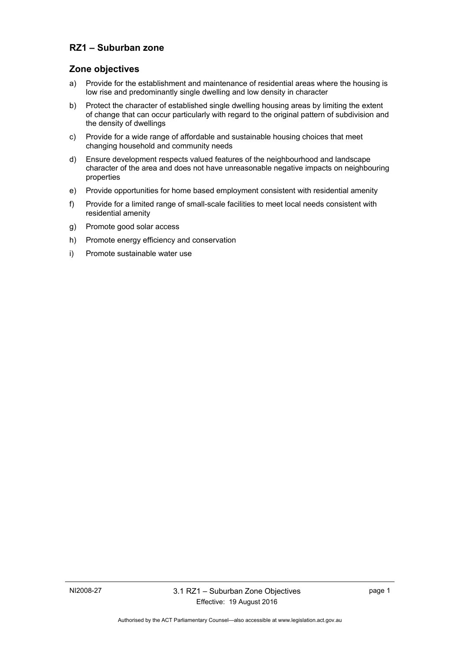### **RZ1 – Suburban zone**

### **Zone objectives**

- a) Provide for the establishment and maintenance of residential areas where the housing is low rise and predominantly single dwelling and low density in character
- b) Protect the character of established single dwelling housing areas by limiting the extent of change that can occur particularly with regard to the original pattern of subdivision and the density of dwellings
- c) Provide for a wide range of affordable and sustainable housing choices that meet changing household and community needs
- d) Ensure development respects valued features of the neighbourhood and landscape character of the area and does not have unreasonable negative impacts on neighbouring properties
- e) Provide opportunities for home based employment consistent with residential amenity
- f) Provide for a limited range of small-scale facilities to meet local needs consistent with residential amenity
- g) Promote good solar access
- h) Promote energy efficiency and conservation
- i) Promote sustainable water use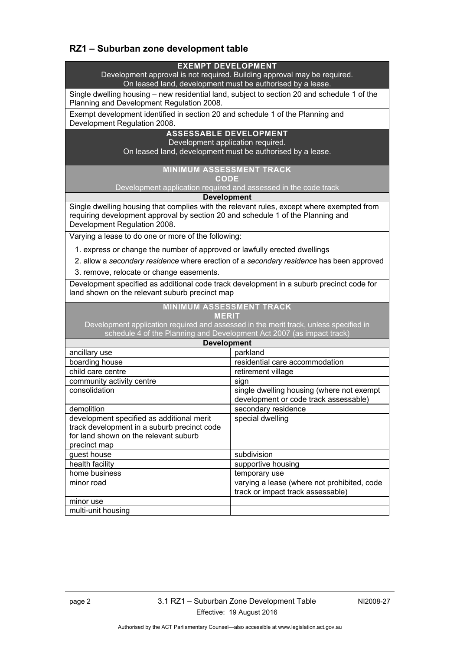# **RZ1 – Suburban zone development table**

| <b>EXEMPT DEVELOPMENT</b>                                                                   |                                             |  |
|---------------------------------------------------------------------------------------------|---------------------------------------------|--|
| Development approval is not required. Building approval may be required.                    |                                             |  |
| On leased land, development must be authorised by a lease.                                  |                                             |  |
| Single dwelling housing - new residential land, subject to section 20 and schedule 1 of the |                                             |  |
| Planning and Development Regulation 2008.                                                   |                                             |  |
| Exempt development identified in section 20 and schedule 1 of the Planning and              |                                             |  |
| Development Regulation 2008.                                                                |                                             |  |
| <b>ASSESSABLE DEVELOPMENT</b>                                                               |                                             |  |
| Development application required.                                                           |                                             |  |
| On leased land, development must be authorised by a lease.                                  |                                             |  |
|                                                                                             |                                             |  |
| <b>MINIMUM ASSESSMENT TRACK</b><br>CODE                                                     |                                             |  |
| Development application required and assessed in the code track                             |                                             |  |
| <b>Development</b>                                                                          |                                             |  |
| Single dwelling housing that complies with the relevant rules, except where exempted from   |                                             |  |
| requiring development approval by section 20 and schedule 1 of the Planning and             |                                             |  |
| Development Regulation 2008.                                                                |                                             |  |
| Varying a lease to do one or more of the following:                                         |                                             |  |
| 1. express or change the number of approved or lawfully erected dwellings                   |                                             |  |
| 2. allow a secondary residence where erection of a secondary residence has been approved    |                                             |  |
| 3. remove, relocate or change easements.                                                    |                                             |  |
| Development specified as additional code track development in a suburb precinct code for    |                                             |  |
| land shown on the relevant suburb precinct map                                              |                                             |  |
| <b>MINIMUM ASSESSMENT TRACK</b>                                                             |                                             |  |
| <b>MERIT</b>                                                                                |                                             |  |
| Development application required and assessed in the merit track, unless specified in       |                                             |  |
| schedule 4 of the Planning and Development Act 2007 (as impact track)                       |                                             |  |
| <b>Development</b>                                                                          |                                             |  |
| ancillary use                                                                               | parkland                                    |  |
| boarding house                                                                              | residential care accommodation              |  |
| child care centre                                                                           | retirement village                          |  |
| community activity centre                                                                   | sign                                        |  |
| consolidation                                                                               | single dwelling housing (where not exempt   |  |
|                                                                                             | development or code track assessable)       |  |
| demolition                                                                                  | secondary residence                         |  |
| development specified as additional merit                                                   | special dwelling                            |  |
| track development in a suburb precinct code<br>for land shown on the relevant suburb        |                                             |  |
| precinct map                                                                                |                                             |  |
| guest house                                                                                 | subdivision                                 |  |
| health facility                                                                             | supportive housing                          |  |
| home business                                                                               | temporary use                               |  |
|                                                                                             |                                             |  |
|                                                                                             |                                             |  |
| minor road                                                                                  | varying a lease (where not prohibited, code |  |
| minor use                                                                                   | track or impact track assessable)           |  |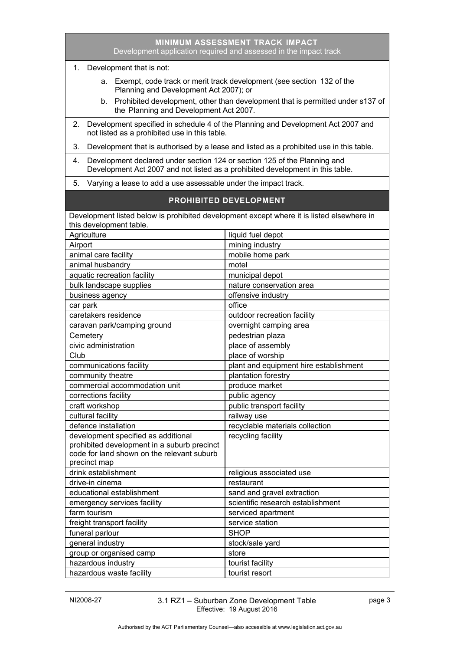| <b>MINIMUM ASSESSMENT TRACK IMPACT</b><br>Development application required and assessed in the impact track                                                       |                                        |  |
|-------------------------------------------------------------------------------------------------------------------------------------------------------------------|----------------------------------------|--|
| 1. Development that is not:                                                                                                                                       |                                        |  |
| a. Exempt, code track or merit track development (see section 132 of the<br>Planning and Development Act 2007); or                                                |                                        |  |
| b. Prohibited development, other than development that is permitted under s137 of<br>the Planning and Development Act 2007.                                       |                                        |  |
| Development specified in schedule 4 of the Planning and Development Act 2007 and<br>2.<br>not listed as a prohibited use in this table.                           |                                        |  |
| Development that is authorised by a lease and listed as a prohibited use in this table.<br>3.                                                                     |                                        |  |
| Development declared under section 124 or section 125 of the Planning and<br>4.<br>Development Act 2007 and not listed as a prohibited development in this table. |                                        |  |
| Varying a lease to add a use assessable under the impact track.<br>5.                                                                                             |                                        |  |
| <b>PROHIBITED DEVELOPMENT</b>                                                                                                                                     |                                        |  |
| Development listed below is prohibited development except where it is listed elsewhere in<br>this development table.                                              |                                        |  |
| Agriculture                                                                                                                                                       | liquid fuel depot                      |  |
| Airport                                                                                                                                                           | mining industry                        |  |
| animal care facility                                                                                                                                              | mobile home park                       |  |
| animal husbandry                                                                                                                                                  | motel                                  |  |
| aquatic recreation facility                                                                                                                                       | municipal depot                        |  |
| bulk landscape supplies                                                                                                                                           | nature conservation area               |  |
| business agency                                                                                                                                                   | offensive industry                     |  |
| car park                                                                                                                                                          | office                                 |  |
| caretakers residence                                                                                                                                              | outdoor recreation facility            |  |
| caravan park/camping ground                                                                                                                                       | overnight camping area                 |  |
| Cemetery                                                                                                                                                          | pedestrian plaza                       |  |
| civic administration                                                                                                                                              | place of assembly                      |  |
| Club                                                                                                                                                              | place of worship                       |  |
| communications facility                                                                                                                                           | plant and equipment hire establishment |  |
| community theatre                                                                                                                                                 | plantation forestry                    |  |
| commercial accommodation unit                                                                                                                                     | produce market                         |  |
| corrections facility                                                                                                                                              | public agency                          |  |
| craft workshop                                                                                                                                                    | public transport facility              |  |
| cultural facility                                                                                                                                                 | railway use                            |  |
| defence installation                                                                                                                                              | recyclable materials collection        |  |
| development specified as additional                                                                                                                               | recycling facility                     |  |
| prohibited development in a suburb precinct                                                                                                                       |                                        |  |
| code for land shown on the relevant suburb                                                                                                                        |                                        |  |
| precinct map                                                                                                                                                      |                                        |  |
| drink establishment                                                                                                                                               | religious associated use               |  |
| drive-in cinema                                                                                                                                                   | restaurant                             |  |
| educational establishment                                                                                                                                         | sand and gravel extraction             |  |
| emergency services facility                                                                                                                                       | scientific research establishment      |  |
| farm tourism                                                                                                                                                      | serviced apartment                     |  |
| freight transport facility                                                                                                                                        | service station                        |  |
| funeral parlour                                                                                                                                                   | <b>SHOP</b>                            |  |
| general industry                                                                                                                                                  | stock/sale yard                        |  |
| group or organised camp                                                                                                                                           | store                                  |  |
| hazardous industry                                                                                                                                                | tourist facility                       |  |
| hazardous waste facility                                                                                                                                          | tourist resort                         |  |

NI2008-27 3.1 RZ1 – Suburban Zone Development Table Effective: 19 August 2016